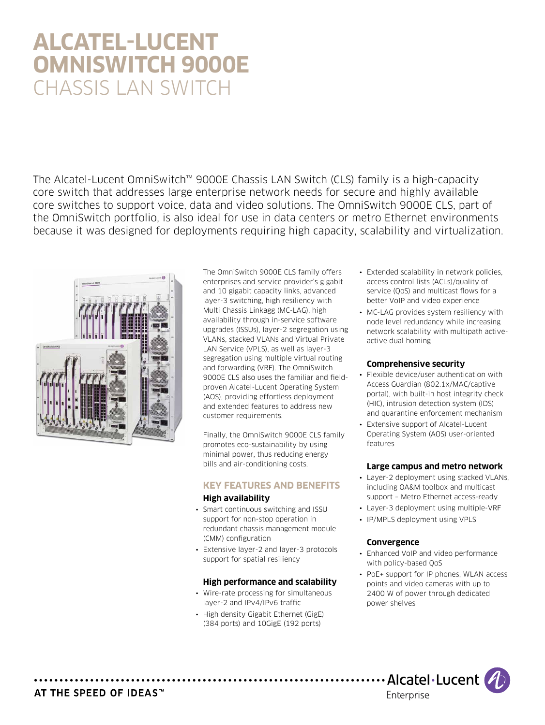# **Alcatel-Lucent OmniSwitch 9000E** CHASSIS LAN SWITCH

The Alcatel-Lucent OmniSwitch™ 9000E Chassis LAN Switch (CLS) family is a high-capacity core switch that addresses large enterprise network needs for secure and highly available core switches to support voice, data and video solutions. The OmniSwitch 9000E CLS, part of the OmniSwitch portfolio, is also ideal for use in data centers or metro Ethernet environments because it was designed for deployments requiring high capacity, scalability and virtualization.



The OmniSwitch 9000E CLS family offers enterprises and service provider's gigabit and 10 gigabit capacity links, advanced layer-3 switching, high resiliency with Multi Chassis Linkagg (MC-LAG), high availability through in-service software upgrades (ISSUs), layer-2 segregation using VLANs, stacked VLANs and Virtual Private LAN Service (VPLS), as well as layer-3 segregation using multiple virtual routing and forwarding (VRF). The OmniSwitch 9000E CLS also uses the familiar and fieldproven Alcatel-Lucent Operating System (AOS), providing effortless deployment and extended features to address new customer requirements.

Finally, the OmniSwitch 9000E CLS family promotes eco-sustainability by using minimal power, thus reducing energy bills and air-conditioning costs.

# **Key features and benefits**

# **High availability**

- Smart continuous switching and ISSU support for non-stop operation in redundant chassis management module (CMM) configuration
- Extensive layer-2 and layer-3 protocols support for spatial resiliency

#### **High performance and scalability**

- Wire-rate processing for simultaneous layer-2 and IPv4/IPv6 traffic
- High density Gigabit Ethernet (GigE) (384 ports) and 10GigE (192 ports)
- Extended scalability in network policies, access control lists (ACLs)/quality of service (QoS) and multicast flows for a better VoIP and video experience
- MC-LAG provides system resiliency with node level redundancy while increasing network scalability with multipath activeactive dual homing

# **Comprehensive security**

- Flexible device/user authentication with Access Guardian (802.1x/MAC/captive portal), with built-in host integrity check (HIC), intrusion detection system (IDS) and quarantine enforcement mechanism
- Extensive support of Alcatel-Lucent Operating System (AOS) user-oriented features

# **Large campus and metro network**

- Layer-2 deployment using stacked VLANs, including OA&M toolbox and multicast support – Metro Ethernet access-ready
- Layer-3 deployment using multiple-VRF
- IP/MPLS deployment using VPLS

#### **Convergence**

- Enhanced VoIP and video performance with policy-based QoS
- PoE+ support for IP phones, WLAN access points and video cameras with up to 2400 W of power through dedicated power shelves



# AT THE SPEED OF IDEAS™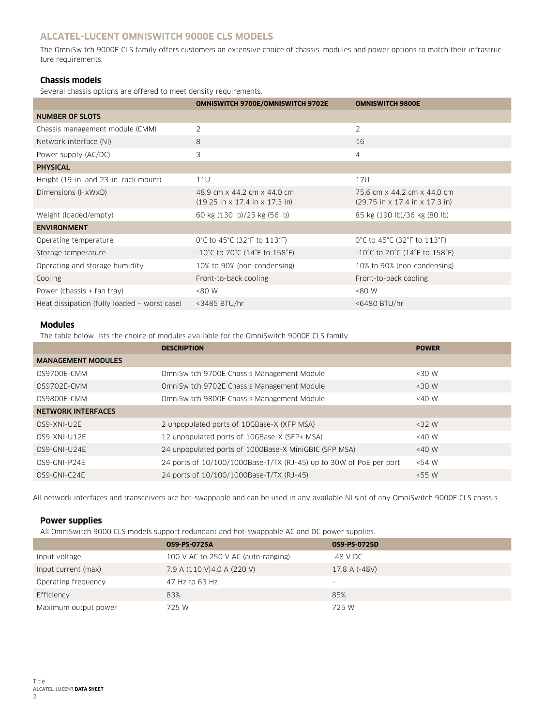# **Alcatel-Lucent OmniSwitch 9000E CLS models**

The OmniSwitch 9000E CLS family offers customers an extensive choice of chassis, modules and power options to match their infrastructure requirements.

# **Chassis models**

Several chassis options are offered to meet density requirements.

|                                              | <b>OMNISWITCH 9700E/OMNISWITCH 9702E</b>                                                          | <b>OMNISWITCH 9800E</b>                                                                           |
|----------------------------------------------|---------------------------------------------------------------------------------------------------|---------------------------------------------------------------------------------------------------|
| <b>NUMBER OF SLOTS</b>                       |                                                                                                   |                                                                                                   |
| Chassis management module (CMM)              | $\overline{2}$                                                                                    | $\overline{2}$                                                                                    |
| Network interface (NI)                       | 8                                                                                                 | 16                                                                                                |
| Power supply (AC/DC)                         | 3                                                                                                 | $\overline{4}$                                                                                    |
| <b>PHYSICAL</b>                              |                                                                                                   |                                                                                                   |
| Height (19-in. and 23-in. rack mount)        | 11U                                                                                               | 17U                                                                                               |
| Dimensions (HxWxD)                           | 48.9 cm x 44.2 cm x 44.0 cm<br>$(19.25 \text{ in} \times 17.4 \text{ in} \times 17.3 \text{ in})$ | 75.6 cm x 44.2 cm x 44.0 cm<br>$(29.75 \text{ in} \times 17.4 \text{ in} \times 17.3 \text{ in})$ |
| Weight (loaded/empty)                        | 60 kg (130 lb)/25 kg (56 lb)                                                                      | 85 kg (190 lb)/36 kg (80 lb)                                                                      |
| <b>ENVIRONMENT</b>                           |                                                                                                   |                                                                                                   |
| Operating temperature                        | 0°C to 45°C (32°F to 113°F)                                                                       | 0°C to 45°C (32°F to 113°F)                                                                       |
| Storage temperature                          | $-10^{\circ}$ C to 70 $^{\circ}$ C (14 $^{\circ}$ F to 158 $^{\circ}$ F)                          | $-10^{\circ}$ C to 70 $^{\circ}$ C (14 $^{\circ}$ F to 158 $^{\circ}$ F)                          |
| Operating and storage humidity               | 10% to 90% (non-condensing)                                                                       | 10% to 90% (non-condensing)                                                                       |
| Cooling                                      | Front-to-back cooling                                                                             | Front-to-back cooling                                                                             |
| Power (chassis + fan tray)                   | <80 W                                                                                             | <80 W                                                                                             |
| Heat dissipation (fully loaded - worst case) | <3485 BTU/hr                                                                                      | <6480 BTU/hr                                                                                      |

# **Modules**

The table below lists the choice of modules available for the OmniSwitch 9000E CLS family.

|                           | <b>DESCRIPTION</b>                                                 | <b>POWER</b> |
|---------------------------|--------------------------------------------------------------------|--------------|
| <b>MANAGEMENT MODULES</b> |                                                                    |              |
| 0S9700E-CMM               | OmniSwitch 9700E Chassis Management Module                         | $<30$ W      |
| 0S9702E-CMM               | OmniSwitch 9702E Chassis Management Module                         | $<30$ W      |
| 0S9800E-CMM               | OmniSwitch 9800E Chassis Management Module                         | $<$ 40 W     |
| <b>NETWORK INTERFACES</b> |                                                                    |              |
| OS9-XNI-U2E               | 2 unpopulated ports of 10GBase-X (XFP MSA)                         | $<$ 32 W     |
| OS9-XNI-U12E              | 12 unpopulated ports of 10GBase-X (SFP+ MSA)                       | $<$ 40 W     |
| OS9-GNI-U24E              | 24 unpopulated ports of 1000Base-X MiniGBIC (SFP MSA)              | $~<$ 40 W    |
| OS9-GNI-P24E              | 24 ports of 10/100/1000Base-T/TX (RJ-45) up to 30W of PoE per port | $<$ 54 W     |
| OS9-GNI-C24E              | 24 ports of 10/100/1000Base-T/TX (RJ-45)                           | $<$ 55 W     |

All network interfaces and transceivers are hot-swappable and can be used in any available NI slot of any OmniSwitch 9000E CLS chassis.

# **Power supplies**

All OmniSwitch 9000 CLS models support redundant and hot-swappable AC and DC power supplies.

|                      | <b>OS9-PS-0725A</b>                 | 0S9-PS-0725D    |
|----------------------|-------------------------------------|-----------------|
| Input voltage        | 100 V AC to 250 V AC (auto-ranging) | -48 V DC        |
| Input current (max)  | 7.9 A (110 V) 4.0 A (220 V)         | 17.8 A (-48V)   |
| Operating frequency  | 47 Hz to 63 Hz                      | $\qquad \qquad$ |
| Efficiency           | 83%                                 | 85%             |
| Maximum output power | 725 W                               | 725 W           |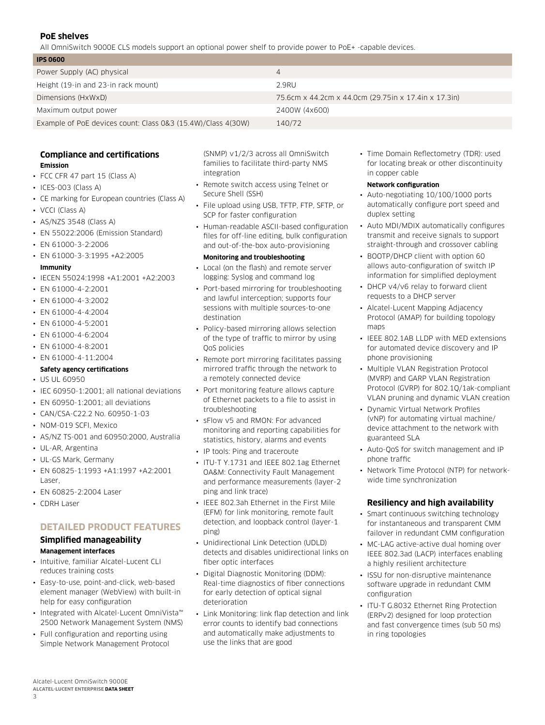# **PoE shelves**

All OmniSwitch 9000E CLS models support an optional power shelf to provide power to PoE+ -capable devices.

| <b>IPS 0600</b>                                              |                                                      |
|--------------------------------------------------------------|------------------------------------------------------|
| Power Supply (AC) physical                                   |                                                      |
| Height (19-in and 23-in rack mount)                          | 2.9RU                                                |
| Dimensions (HxWxD)                                           | 75.6cm x 44.2cm x 44.0cm (29.75in x 17.4in x 17.3in) |
| Maximum output power                                         | 2400W (4x600)                                        |
| Example of PoE devices count: Class 0&3 (15.4W)/Class 4(30W) | 140/72                                               |

#### **Compliance and certifications Emission**

- FCC CFR 47 part 15 (Class A)
- ICES-003 (Class A)
- CE marking for European countries (Class A)
- VCCI (Class A)
- AS/NZS 3548 (Class A)
- EN 55022:2006 (Emission Standard)
- EN 61000-3-2:2006
- EN 61000-3-3:1995 +A2:2005
- **Immunity**
- IECEN 55024:1998 +A1:2001 +A2:2003
- EN 61000-4-2:2001
- EN 61000-4-3:2002
- EN 61000-4-4:2004
- EN 61000-4-5:2001
- EN 61000-4-6:2004
- EN 61000-4-8:2001
- EN 61000-4-11:2004

#### **Safety agency certifications**

- US UL 60950
- IEC 60950-1:2001; all national deviations
- EN 60950-1:2001; all deviations
- CAN/CSA-C22.2 No. 60950-1-03
- NOM-019 SCFI, Mexico
- AS/NZ TS-001 and 60950:2000, Australia
- UL-AR, Argentina
- UL-GS Mark, Germany
- EN 60825-1:1993 +A1:1997 +A2:2001 Laser,
- EN 60825-2:2004 Laser
- CDRH Laser

#### **Detailed product features**

# **Simplified manageability**

- **Management interfaces**
- Intuitive, familiar Alcatel-Lucent CLI reduces training costs
- Easy-to-use, point-and-click, web-based element manager (WebView) with built-in help for easy configuration
- Integrated with Alcatel-Lucent OmniVista™ 2500 Network Management System (NMS)
- Full configuration and reporting using Simple Network Management Protocol

(SNMP) v1/2/3 across all OmniSwitch families to facilitate third-party NMS integration

- Remote switch access using Telnet or Secure Shell (SSH)
- File upload using USB, TFTP, FTP, SFTP, or SCP for faster configuration
- Human-readable ASCII-based configuration files for off-line editing, bulk configuration and out-of-the-box auto-provisioning

#### **Monitoring and troubleshooting**

- Local (on the flash) and remote server logging: Syslog and command log
- Port-based mirroring for troubleshooting and lawful interception; supports four sessions with multiple sources-to-one destination
- Policy-based mirroring allows selection of the type of traffic to mirror by using QoS policies
- Remote port mirroring facilitates passing mirrored traffic through the network to a remotely connected device
- Port monitoring feature allows capture of Ethernet packets to a file to assist in troubleshooting
- sFlow v5 and RMON: For advanced monitoring and reporting capabilities for statistics, history, alarms and events
- IP tools: Ping and traceroute
- ITU-T Y.1731 and IEEE 802.1ag Ethernet OA&M: Connectivity Fault Management and performance measurements (layer-2 ping and link trace)
- IEEE 802.3ah Ethernet in the First Mile (EFM) for link monitoring, remote fault detection, and loopback control (layer-1 ping)
- Unidirectional Link Detection (UDLD) detects and disables unidirectional links on fiber optic interfaces
- Digital Diagnostic Monitoring (DDM): Real-time diagnostics of fiber connections for early detection of optical signal deterioration
- Link Monitoring: link flap detection and link error counts to identify bad connections and automatically make adjustments to use the links that are good

• Time Domain Reflectometry (TDR): used for locating break or other discontinuity in copper cable

#### **Network configuration**

- Auto-negotiating 10/100/1000 ports automatically configure port speed and duplex setting
- Auto MDI/MDIX automatically configures transmit and receive signals to support straight-through and crossover cabling
- BOOTP/DHCP client with option 60 allows auto-configuration of switch IP information for simplified deployment
- DHCP v4/v6 relay to forward client requests to a DHCP server
- Alcatel-Lucent Mapping Adjacency Protocol (AMAP) for building topology mans
- IEEE 802.1AB LLDP with MED extensions for automated device discovery and IP phone provisioning
- Multiple VLAN Registration Protocol (MVRP) and GARP VLAN Registration Protocol (GVRP) for 802.1Q/1ak-compliant VLAN pruning and dynamic VLAN creation
- Dynamic Virtual Network Profiles (vNP) for automating virtual machine/ device attachment to the network with guaranteed SLA
- Auto-QoS for switch management and IP phone traffic
- Network Time Protocol (NTP) for networkwide time synchronization

# **Resiliency and high availability**

- Smart continuous switching technology for instantaneous and transparent CMM failover in redundant CMM configuration
- MC-LAG active-active dual homing over IEEE 802.3ad (LACP) interfaces enabling a highly resilient architecture
- ISSU for non-disruptive maintenance software upgrade in redundant CMM configuration
- ITU-T G.8032 Ethernet Ring Protection (ERPv2) designed for loop protection and fast convergence times (sub 50 ms) in ring topologies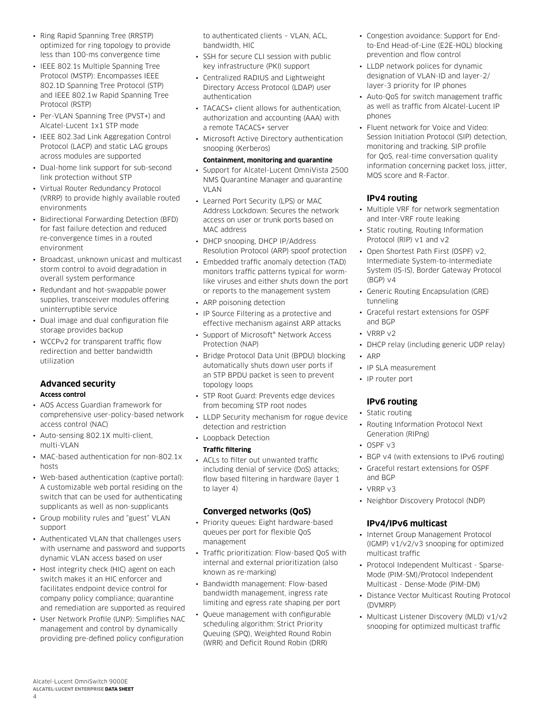- Ring Rapid Spanning Tree (RRSTP) optimized for ring topology to provide less than 100-ms convergence time
- IEEE 802.1s Multiple Spanning Tree Protocol (MSTP): Encompasses IEEE 802.1D Spanning Tree Protocol (STP) and IEEE 802.1w Rapid Spanning Tree Protocol (RSTP)
- Per-VLAN Spanning Tree (PVST+) and Alcatel-Lucent 1x1 STP mode
- IEEE 802.3ad Link Aggregation Control Protocol (LACP) and static LAG groups across modules are supported
- Dual-home link support for sub-second link protection without STP
- Virtual Router Redundancy Protocol (VRRP) to provide highly available routed environments
- Bidirectional Forwarding Detection (BFD) for fast failure detection and reduced re-convergence times in a routed environment
- Broadcast, unknown unicast and multicast storm control to avoid degradation in overall system performance
- Redundant and hot-swappable power supplies, transceiver modules offering uninterruptible service
- Dual image and dual configuration file storage provides backup
- WCCPv2 for transparent traffic flow redirection and better bandwidth utilization

# **Advanced security Access control**

- AOS Access Guardian framework for comprehensive user-policy-based network access control (NAC)
- Auto-sensing 802.1X multi-client, multi-VLAN
- MAC-based authentication for non-802.1x hosts
- Web-based authentication (captive portal): A customizable web portal residing on the switch that can be used for authenticating supplicants as well as non-supplicants
- Group mobility rules and "guest" VLAN support
- Authenticated VLAN that challenges users with username and password and supports dynamic VLAN access based on user
- Host integrity check (HIC) agent on each switch makes it an HIC enforcer and facilitates endpoint device control for company policy compliance; quarantine and remediation are supported as required
- User Network Profile (UNP): Simplifies NAC management and control by dynamically providing pre-defined policy configuration

to authenticated clients – VLAN, ACL, bandwidth, HIC

- SSH for secure CLI session with public key infrastructure (PKI) support
- Centralized RADIUS and Lightweight Directory Access Protocol (LDAP) user authentication
- TACACS+ client allows for authentication, authorization and accounting (AAA) with a remote TACACS+ server
- Microsoft Active Directory authentication snooping (Kerberos)

#### **Containment, monitoring and quarantine**

- Support for Alcatel-Lucent OmniVista 2500 NMS Quarantine Manager and quarantine VLAN
- Learned Port Security (LPS) or MAC Address Lockdown: Secures the network access on user or trunk ports based on MAC address
- DHCP snooping, DHCP IP/Address Resolution Protocol (ARP) spoof protection
- Embedded traffic anomaly detection (TAD) monitors traffic patterns typical for wormlike viruses and either shuts down the port or reports to the management system
- ARP poisoning detection
- IP Source Filtering as a protective and effective mechanism against ARP attacks
- Support of Microsoft® Network Access Protection (NAP)
- Bridge Protocol Data Unit (BPDU) blocking automatically shuts down user ports if an STP BPDU packet is seen to prevent topology loops
- STP Root Guard: Prevents edge devices from becoming STP root nodes
- LLDP Security mechanism for rogue device detection and restriction
- Loopback Detection

# **Traffic filtering**

• ACLs to filter out unwanted traffic including denial of service (DoS) attacks; flow based filtering in hardware (layer 1 to layer 4)

# **Converged networks (QoS)**

- Priority queues: Eight hardware-based queues per port for flexible QoS management
- Traffic prioritization: Flow-based QoS with internal and external prioritization (also known as re-marking)
- Bandwidth management: Flow-based bandwidth management, ingress rate limiting and egress rate shaping per port
- Queue management with configurable scheduling algorithm: Strict Priority Queuing (SPQ), Weighted Round Robin (WRR) and Deficit Round Robin (DRR)
- Congestion avoidance: Support for Endto-End Head-of-Line (E2E-HOL) blocking prevention and flow control
- LLDP network polices for dynamic designation of VLAN-ID and layer-2/ layer-3 priority for IP phones
- Auto-QoS for switch management traffic as well as traffic from Alcatel-Lucent IP phones
- Fluent network for Voice and Video: Session Initiation Protocol (SIP) detection, monitoring and tracking. SIP profile for QoS, real-time conversation quality information concerning packet loss, jitter, MOS score and R-Factor.

# **IPv4 routing**

- Multiple VRF for network segmentation and Inter-VRF route leaking
- Static routing, Routing Information Protocol (RIP) v1 and v2
- Open Shortest Path First (OSPF) v2, Intermediate System-to-Intermediate System (IS-IS), Border Gateway Protocol (BGP) v4
- Generic Routing Encapsulation (GRE) tunneling
- Graceful restart extensions for OSPF and BGP
- VRRP v2
- DHCP relay (including generic UDP relay)
- ARP
- IP SLA measurement
- IP router port

# **IPv6 routing**

- Static routing
- Routing Information Protocol Next Generation (RIPng)
- OSPF v3
- BGP v4 (with extensions to IPv6 routing)
- Graceful restart extensions for OSPF and BGP
- VRRP v3
- Neighbor Discovery Protocol (NDP)

# **IPv4/IPv6 multicast**

- Internet Group Management Protocol (IGMP) v1/v2/v3 snooping for optimized multicast traffic
- Protocol Independent Multicast Sparse-Mode (PIM-SM)/Protocol Independent Multicast - Dense-Mode (PIM-DM)
- Distance Vector Multicast Routing Protocol (DVMRP)
- Multicast Listener Discovery (MLD) v1/v2 snooping for optimized multicast traffic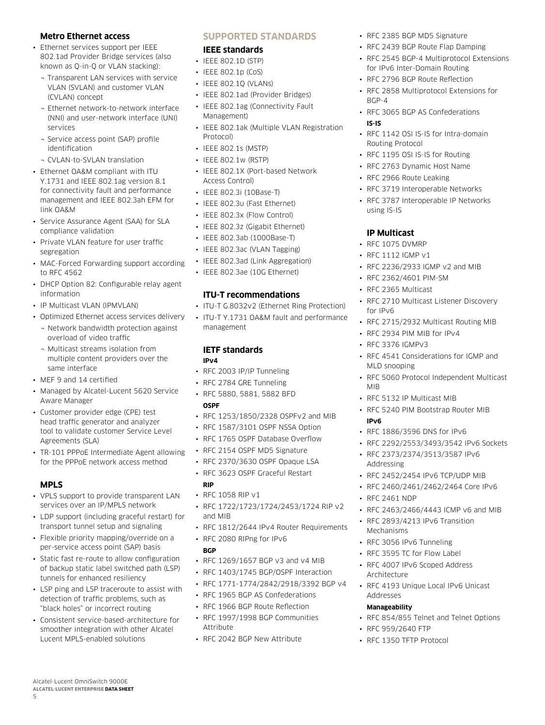## **Metro Ethernet access**

- Ethernet services support per IEEE 802.1ad Provider Bridge services (also known as Q-in-Q or VLAN stacking):
	- ¬ Transparent LAN services with service VLAN (SVLAN) and customer VLAN (CVLAN) concept
	- ¬ Ethernet network-to-network interface (NNI) and user-network interface (UNI) services
	- ¬ Service access point (SAP) profile identification
	- ¬ CVLAN-to-SVLAN translation
- Ethernet OA&M compliant with ITU Y.1731 and IEEE 802.1ag version 8.1 for connectivity fault and performance management and IEEE 802.3ah EFM for link OA&M
- Service Assurance Agent (SAA) for SLA compliance validation
- Private VLAN feature for user traffic segregation
- MAC-Forced Forwarding support according to RFC 4562
- DHCP Option 82: Configurable relay agent information
- IP Multicast VLAN (IPMVLAN)
- Optimized Ethernet access services delivery
- ¬ Network bandwidth protection against overload of video traffic
- ¬ Multicast streams isolation from multiple content providers over the same interface
- MEF 9 and 14 certified
- Managed by Alcatel-Lucent 5620 Service Aware Manager
- Customer provider edge (CPE) test head traffic generator and analyzer tool to validate customer Service Level Agreements (SLA)
- TR-101 PPPoE Intermediate Agent allowing for the PPPoE network access method

#### **MPLS**

5

- VPLS support to provide transparent LAN services over an IP/MPLS network
- LDP support (including graceful restart) for transport tunnel setup and signaling
- Flexible priority mapping/override on a per-service access point (SAP) basis
- Static fast re-route to allow configuration of backup static label switched path (LSP) tunnels for enhanced resiliency
- LSP ping and LSP traceroute to assist with detection of traffic problems, such as "black holes" or incorrect routing
- Consistent service-based-architecture for smoother integration with other Alcatel Lucent MPLS-enabled solutions

Alcatel-Lucent OmniSwitch 9000E **Alcatel-Lucent Enterprise Data sheet**

# **Supported standards**

#### **IEEE standards**

- IEEE 802.1D (STP)
- IEEE 802.1p (CoS)
- IEEE 802.1Q (VLANs)
- IEEE 802.1ad (Provider Bridges)
- IEEE 802.1ag (Connectivity Fault Management)
- IEEE 802.1ak (Multiple VLAN Registration Protocol)
- IEEE 802.1s (MSTP)
- IEEE 802.1w (RSTP)
- IEEE 802.1X (Port-based Network Access Control)
- IEEE 802.3i (10Base-T)
- IFFF 802.3u (Fast Ethernet)
- IEEE 802.3x (Flow Control)
- IEEE 802.3z (Gigabit Ethernet)
- IEEE 802.3ab (1000Base-T)
- IEEE 802.3ac (VLAN Tagging)
- IEEE 802.3ad (Link Aggregation)
- IFFE 802.3ae (10G Ethernet)

#### **ITU-T recommendations**

- ITU-T G.8032v2 (Ethernet Ring Protection)
- ITU-T Y.1731 OA&M fault and performance management

#### **IETF standards IPv4**

- RFC 2003 IP/IP Tunneling
- RFC 2784 GRE Tunneling
- RFC 5880, 5881, 5882 BFD **OSPF**
- RFC 1253/1850/2328 OSPFv2 and MIB
- RFC 1587/3101 OSPF NSSA Option
- RFC 1765 OSPF Database Overflow
- RFC 2154 OSPF MD5 Signature
- RFC 2370/3630 OSPF Opaque LSA
- RFC 3623 OSPF Graceful Restart
- **RIP**
- RFC 1058 RIP v1
- RFC 1722/1723/1724/2453/1724 RIP v2 and MIB
- RFC 1812/2644 IPv4 Router Requirements
- RFC 2080 RIPng for IPv6

#### **BGP**

- RFC 1269/1657 BGP v3 and v4 MIB
- RFC 1403/1745 BGP/OSPF Interaction
- RFC 1771-1774/2842/2918/3392 BGP v4
- RFC 1965 BGP AS Confederations
- RFC 1966 BGP Route Reflection
- RFC 1997/1998 BGP Communities Attribute
- RFC 2042 BGP New Attribute
- RFC 2385 BGP MD5 Signature
- RFC 2439 BGP Route Flap Damping
- RFC 2545 BGP-4 Multiprotocol Extensions for IPv6 Inter-Domain Routing
- RFC 2796 BGP Route Reflection
- RFC 2858 Multiprotocol Extensions for BGP-4
- RFC 3065 BGP AS Confederations

#### **IS-IS**

- RFC 1142 OSI IS-IS for Intra-domain Routing Protocol
- RFC 1195 OSI IS-IS for Routing
- RFC 2763 Dynamic Host Name
- RFC 2966 Route Leaking
- RFC 3719 Interoperable Networks
- RFC 3787 Interoperable IP Networks using IS-IS

# **IP Multicast**

- RFC 1075 DVMRP
- RFC 1112 IGMP v1
- RFC 2236/2933 IGMP v2 and MIB
- RFC 2362/4601 PIM-SM
- RFC 2365 Multicast
- RFC 2710 Multicast Listener Discovery for IPv6
- RFC 2715/2932 Multicast Routing MIB
- RFC 2934 PIM MIB for IPv4
- RFC 3376 IGMPv3

Addressing

• RFC 2461 NDP

Mechanisms

Architecture

Addresses **Manageability**

• RFC 959/2640 FTP • RFC 1350 TFTP Protocol

• RFC 3056 IPv6 Tunneling • RFC 3595 TC for Flow Label • RFC 4007 IPv6 Scoped Address

- RFC 4541 Considerations for IGMP and MLD snooping
- RFC 5060 Protocol Independent Multicast MIB
- RFC 5132 IP Multicast MIB
- RFC 5240 PIM Bootstrap Router MIB **IPv6**

• RFC 2373/2374/3513/3587 IPv6

• RFC 2452/2454 IPv6 TCP/UDP MIB • RFC 2460/2461/2462/2464 Core IPv6

• RFC 2463/2466/4443 ICMP v6 and MIB • RFC 2893/4213 IPv6 Transition

• RFC 4193 Unique Local IPv6 Unicast

• RFC 854/855 Telnet and Telnet Options

- RFC 1886/3596 DNS for IPv6
- RFC 2292/2553/3493/3542 IPv6 Sockets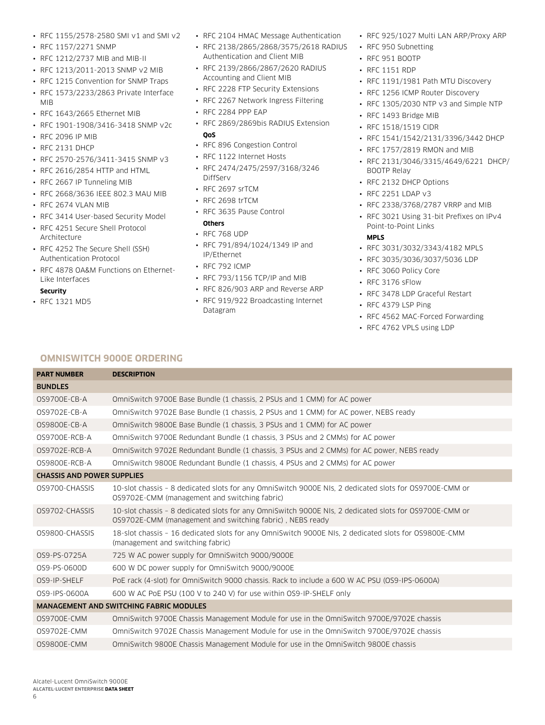- RFC 1155/2578-2580 SMI v1 and SMI v2
- RFC 1157/2271 SNMP
- RFC 1212/2737 MIB and MIB-II
- RFC 1213/2011-2013 SNMP v2 MIB
- RFC 1215 Convention for SNMP Traps
- RFC 1573/2233/2863 Private Interface MIB
- RFC 1643/2665 Ethernet MIB
- RFC 1901-1908/3416-3418 SNMP v2c
- RFC 2096 IP MIB
- RFC 2131 DHCP
- RFC 2570-2576/3411-3415 SNMP v3
- RFC 2616/2854 HTTP and HTML
- RFC 2667 IP Tunneling MIB
- RFC 2668/3636 IEEE 802.3 MAU MIB
- RFC 2674 VLAN MIB
- RFC 3414 User-based Security Model
- RFC 4251 Secure Shell Protocol Architecture
- RFC 4252 The Secure Shell (SSH) Authentication Protocol
- RFC 4878 OA&M Functions on Ethernet-Like Interfaces

#### **Security**

• RFC 1321 MD5

- RFC 2104 HMAC Message Authentication
- RFC 2138/2865/2868/3575/2618 RADIUS Authentication and Client MIB
- RFC 2139/2866/2867/2620 RADIUS Accounting and Client MIB
- RFC 2228 FTP Security Extensions
- RFC 2267 Network Ingress Filtering
- RFC 2284 PPP EAP
- RFC 2869/2869bis RADIUS Extension **QoS**
- RFC 896 Congestion Control
- RFC 1122 Internet Hosts
- RFC 2474/2475/2597/3168/3246 DiffServ
- RFC 2697 srTCM
- RFC 2698 trTCM
- RFC 3635 Pause Control **Others**
- RFC 768 UDP
- RFC 791/894/1024/1349 IP and IP/Ethernet
- RFC 792 ICMP
- RFC 793/1156 TCP/IP and MIB
- RFC 826/903 ARP and Reverse ARP
- RFC 919/922 Broadcasting Internet Datagram
- RFC 925/1027 Multi LAN ARP/Proxy ARP
- RFC 950 Subnetting
- RFC 951 BOOTP
- RFC 1151 RDP
- RFC 1191/1981 Path MTU Discovery
- RFC 1256 ICMP Router Discovery
- RFC 1305/2030 NTP v3 and Simple NTP
- RFC 1493 Bridge MIB
- RFC 1518/1519 CIDR
- RFC 1541/1542/2131/3396/3442 DHCP
- RFC 1757/2819 RMON and MIB
- RFC 2131/3046/3315/4649/6221 DHCP/ BOOTP Relay
- RFC 2132 DHCP Options
- RFC 2251 LDAP v3
- RFC 2338/3768/2787 VRRP and MIB
- RFC 3021 Using 31-bit Prefixes on IPv4 Point-to-Point Links

#### **MPLS**

- RFC 3031/3032/3343/4182 MPLS
- RFC 3035/3036/3037/5036 LDP
- RFC 3060 Policy Core
- RFC 3176 sFlow
- RFC 3478 LDP Graceful Restart
- RFC 4379 LSP Ping
- RFC 4562 MAC-Forced Forwarding
- RFC 4762 VPLS using LDP

# **OmniSwitch 9000E ordering**

| <b>PART NUMBER</b>                             | <b>DESCRIPTION</b>                                                                                                                                                  |  |
|------------------------------------------------|---------------------------------------------------------------------------------------------------------------------------------------------------------------------|--|
| <b>BUNDLES</b>                                 |                                                                                                                                                                     |  |
| 0S9700E-CB-A                                   | OmniSwitch 9700E Base Bundle (1 chassis, 2 PSUs and 1 CMM) for AC power                                                                                             |  |
| OS9702E-CB-A                                   | OmniSwitch 9702E Base Bundle (1 chassis, 2 PSUs and 1 CMM) for AC power, NEBS ready                                                                                 |  |
| 0S9800E-CB-A                                   | OmniSwitch 9800E Base Bundle (1 chassis, 3 PSUs and 1 CMM) for AC power                                                                                             |  |
| OS9700E-RCB-A                                  | OmniSwitch 9700E Redundant Bundle (1 chassis, 3 PSUs and 2 CMMs) for AC power                                                                                       |  |
| OS9702E-RCB-A                                  | OmniSwitch 9702E Redundant Bundle (1 chassis, 3 PSUs and 2 CMMs) for AC power, NEBS ready                                                                           |  |
| 0S9800E-RCB-A                                  | OmniSwitch 9800E Redundant Bundle (1 chassis, 4 PSUs and 2 CMMs) for AC power                                                                                       |  |
| <b>CHASSIS AND POWER SUPPLIES</b>              |                                                                                                                                                                     |  |
| OS9700-CHASSIS                                 | 10-slot chassis - 8 dedicated slots for any OmniSwitch 9000E NIs, 2 dedicated slots for OS9700E-CMM or<br>OS9702E-CMM (management and switching fabric)             |  |
| OS9702-CHASSIS                                 | 10-slot chassis - 8 dedicated slots for any OmniSwitch 9000E NIs, 2 dedicated slots for OS9700E-CMM or<br>OS9702E-CMM (management and switching fabric), NEBS ready |  |
| OS9800-CHASSIS                                 | 18-slot chassis - 16 dedicated slots for any OmniSwitch 9000E NIs, 2 dedicated slots for OS9800E-CMM<br>(management and switching fabric)                           |  |
| 0S9-PS-0725A                                   | 725 W AC power supply for OmniSwitch 9000/9000E                                                                                                                     |  |
| 0S9-PS-0600D                                   | 600 W DC power supply for OmniSwitch 9000/9000E                                                                                                                     |  |
| OS9-IP-SHELF                                   | PoE rack (4-slot) for OmniSwitch 9000 chassis. Rack to include a 600 W AC PSU (OS9-IPS-0600A)                                                                       |  |
| 0S9-IPS-0600A                                  | 600 W AC PoE PSU (100 V to 240 V) for use within OS9-IP-SHELF only                                                                                                  |  |
| <b>MANAGEMENT AND SWITCHING FABRIC MODULES</b> |                                                                                                                                                                     |  |
| OS9700E-CMM                                    | OmniSwitch 9700E Chassis Management Module for use in the OmniSwitch 9700E/9702E chassis                                                                            |  |
| OS9702E-CMM                                    | OmniSwitch 9702E Chassis Management Module for use in the OmniSwitch 9700E/9702E chassis                                                                            |  |
| 0S9800E-CMM                                    | OmniSwitch 9800E Chassis Management Module for use in the OmniSwitch 9800E chassis                                                                                  |  |